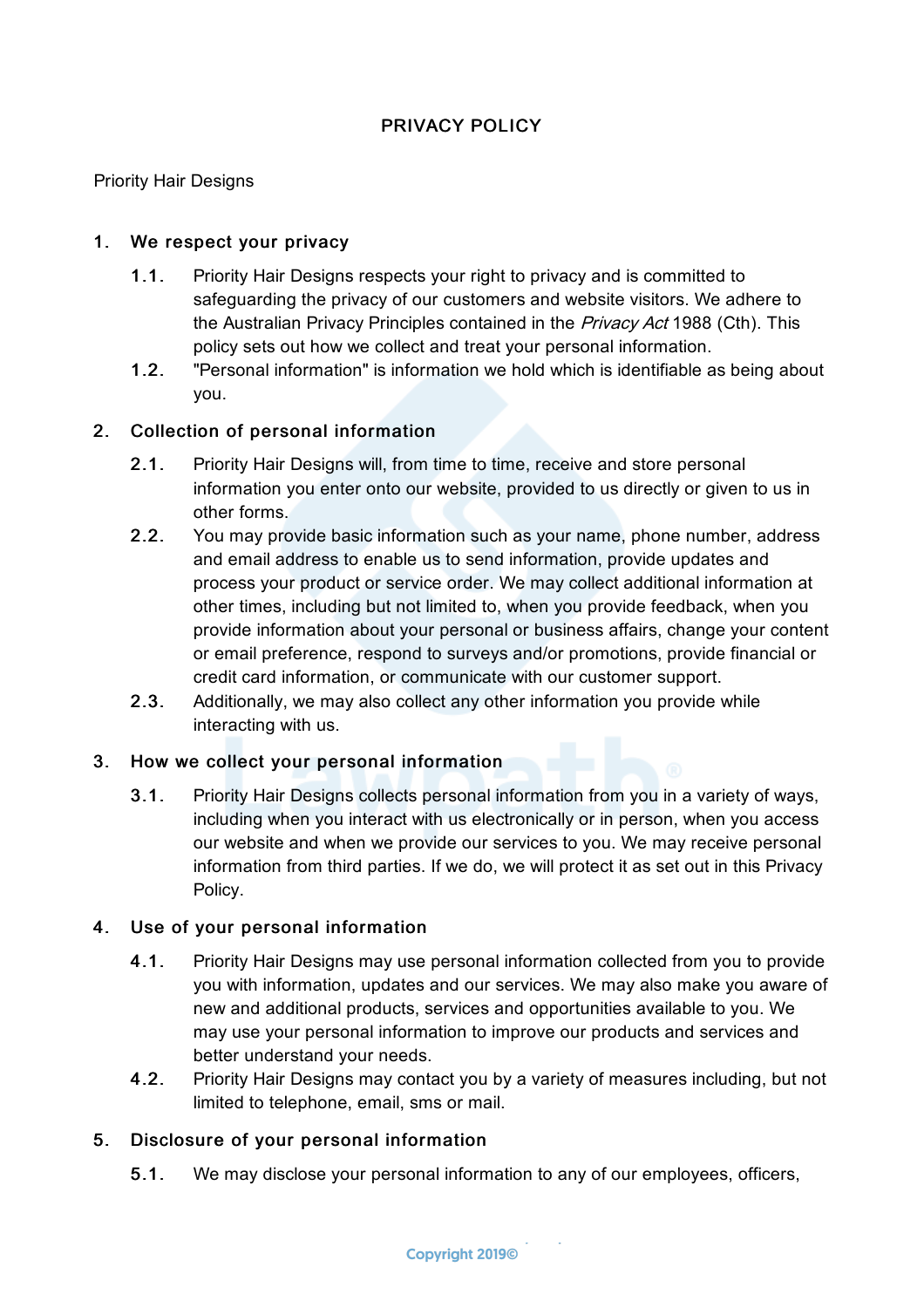# PRIVACY POLICY

Priority Hair Designs

# 1. We respect your privacy

- 1.1. Priority Hair Designs respects your right to privacy and is committed to safeguarding the privacy of our customers and website visitors. We adhere to the Australian Privacy Principles contained in the Privacy Act 1988 (Cth). This policy sets out how we collect and treat your personal information.
- 1.2. "Personal information" is information we hold which is identifiable as being about you.

## 2. Collection of personal information

- 2.1. Priority Hair Designs will, from time to time, receive and store personal information you enter onto our website, provided to us directly or given to us in other forms.
- 2.2. You may provide basic information such as your name, phone number, address and email address to enable us to send information, provide updates and process your product or service order. We may collect additional information at other times, including but not limited to, when you provide feedback, when you provide information about your personal or business affairs, change your content or email preference, respond to surveys and/or promotions, provide financial or credit card information, or communicate with our customer support.
- 2.3. Additionally, we may also collect any other information you provide while interacting with us.

## 3. How we collect your personal information

3.1. Priority Hair Designs collects personal information from you in a variety of ways, including when you interact with us electronically or in person, when you access our website and when we provide our services to you. We may receive personal information from third parties. If we do, we will protect it as set out in this Privacy Policy.

## 4. Use of your personal information

- 4.1. Priority Hair Designs may use personal information collected from you to provide you with information, updates and our services. We may also make you aware of new and additional products, services and opportunities available to you. We may use your personal information to improve our products and services and better understand your needs.
- 4.2. Priority Hair Designs may contact you by a variety of measures including, but not limited to telephone, email, sms or mail.

## 5. Disclosure of your personal information

5.1. We may disclose your personal information to any of our employees, officers,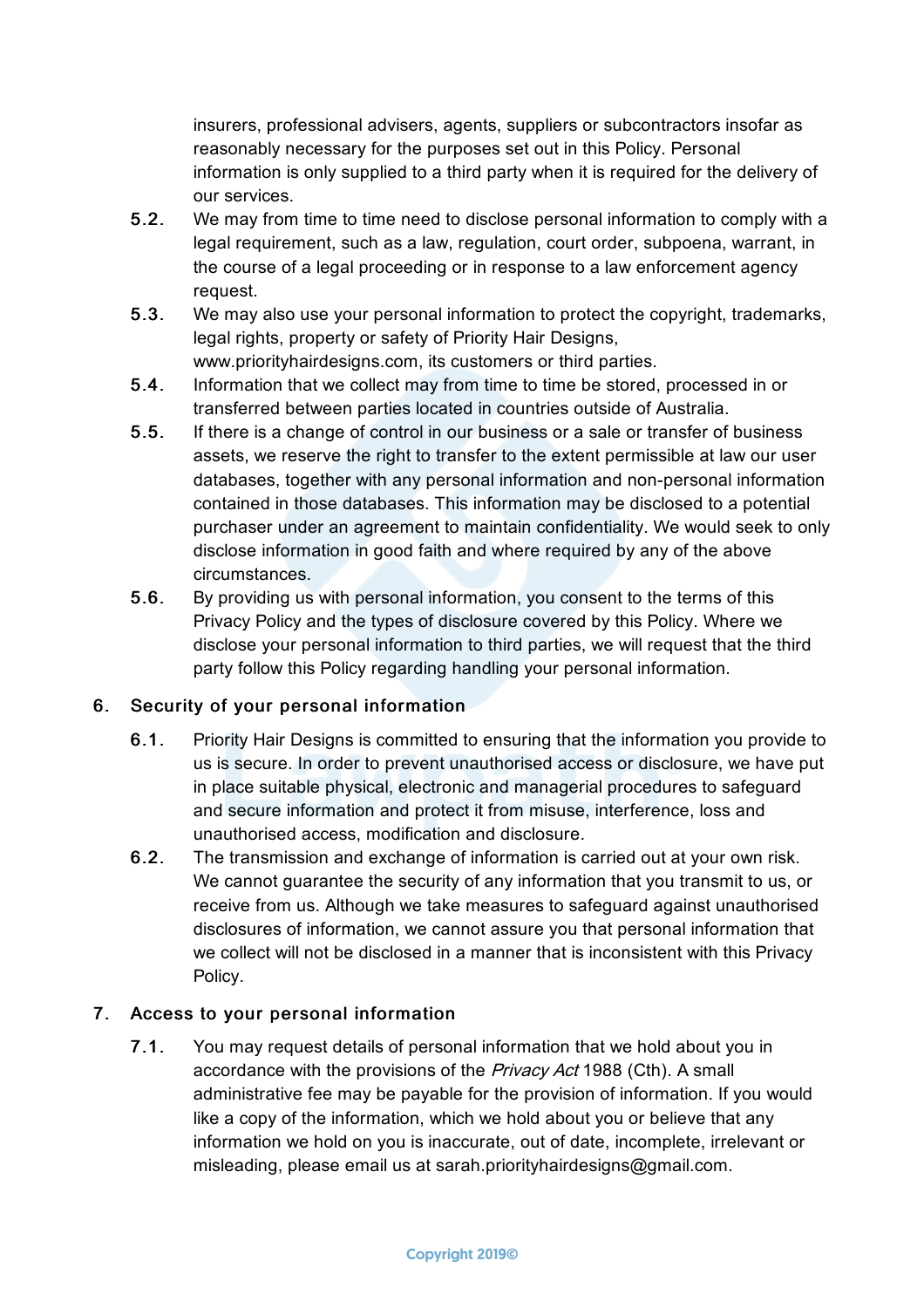insurers, professional advisers, agents, suppliers or subcontractors insofar as reasonably necessary for the purposes set out in this Policy. Personal information is only supplied to a third party when it is required for the delivery of our services.

- 5.2. We may from time to time need to disclose personal information to comply with a legal requirement, such as a law, regulation, court order, subpoena, warrant, in the course of a legal proceeding or in response to a law enforcement agency request.
- 5.3. We may also use your personal information to protect the copyright, trademarks, legal rights, property or safety of Priority Hair Designs, www.priorityhairdesigns.com, its customers or third parties.
- 5.4. Information that we collect may from time to time be stored, processed in or transferred between parties located in countries outside of Australia.
- 5.5. If there is a change of control in our business or a sale or transfer of business assets, we reserve the right to transfer to the extent permissible at law our user databases, together with any personal information and non-personal information contained in those databases. This information may be disclosed to a potential purchaser under an agreement to maintain confidentiality. We would seek to only disclose information in good faith and where required by any of the above circumstances.
- 5.6. By providing us with personal information, you consent to the terms of this Privacy Policy and the types of disclosure covered by this Policy. Where we disclose your personal information to third parties, we will request that the third party follow this Policy regarding handling your personal information.

## 6. Security of your personal information

- 6.1. Priority Hair Designs is committed to ensuring that the information you provide to us is secure. In order to prevent unauthorised access or disclosure, we have put in place suitable physical, electronic and managerial procedures to safeguard and secure information and protect it from misuse, interference, loss and unauthorised access, modification and disclosure.
- 6.2. The transmission and exchange of information is carried out at your own risk. We cannot guarantee the security of any information that you transmit to us, or receive from us. Although we take measures to safeguard against unauthorised disclosures of information, we cannot assure you that personal information that we collect will not be disclosed in a manner that is inconsistent with this Privacy Policy.

## 7. Access to your personal information

7.1. You may request details of personal information that we hold about you in accordance with the provisions of the Privacy Act 1988 (Cth). A small administrative fee may be payable for the provision of information. If you would like a copy of the information, which we hold about you or believe that any information we hold on you is inaccurate, out of date, incomplete, irrelevant or misleading, please email us at sarah.priorityhairdesigns@gmail.com.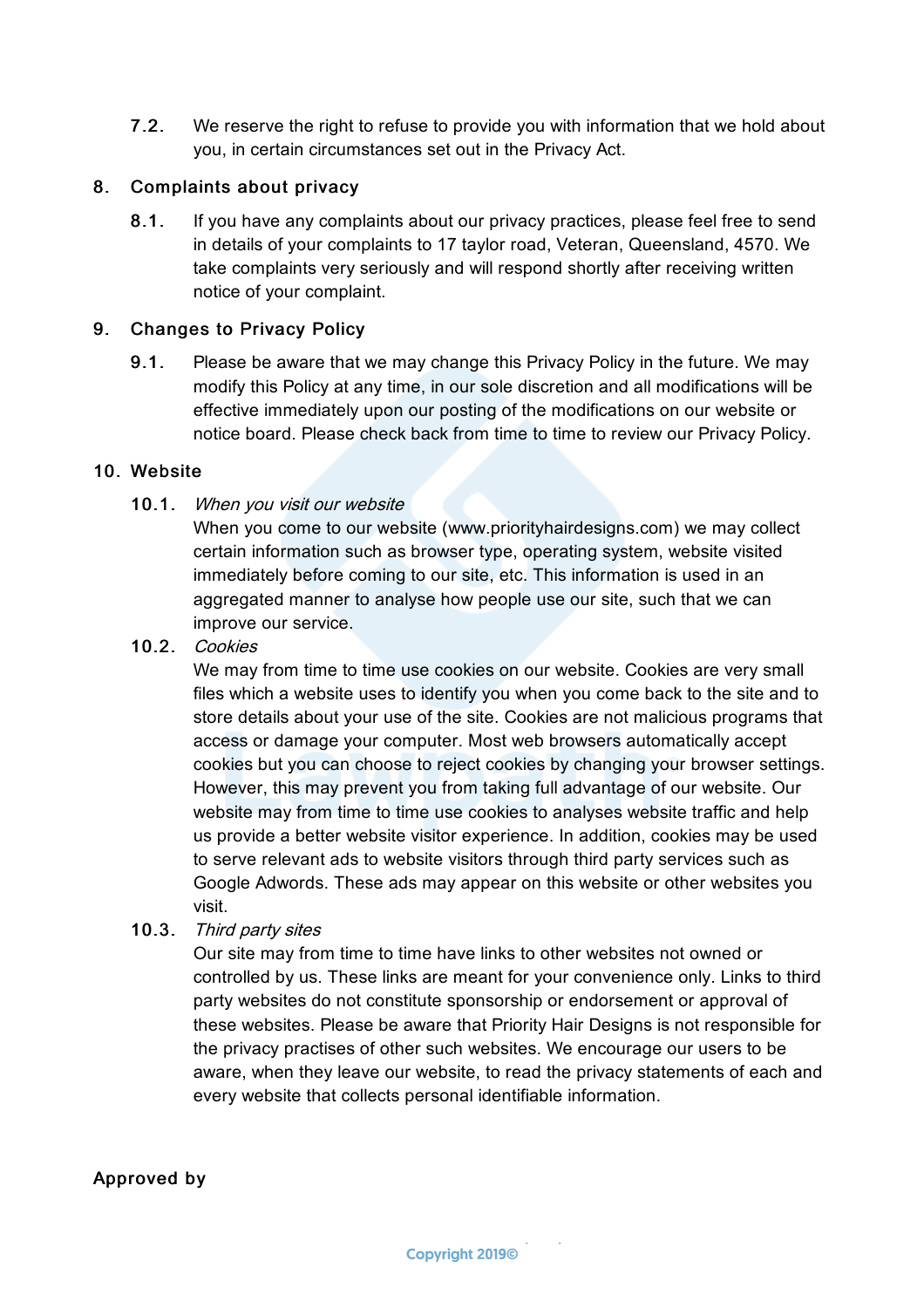7.2. We reserve the right to refuse to provide you with information that we hold about you, in certain circumstances set out in the Privacy Act.

#### 8. Complaints about privacy

8.1. If you have any complaints about our privacy practices, please feel free to send in details of your complaints to 17 taylor road, Veteran, Queensland, 4570. We take complaints very seriously and will respond shortly after receiving written notice of your complaint.

#### 9. Changes to Privacy Policy

9.1. Please be aware that we may change this Privacy Policy in the future. We may modify this Policy at any time, in our sole discretion and all modifications will be effective immediately upon our posting of the modifications on our website or notice board. Please check back from time to time to review our Privacy Policy.

#### 10. Website

#### 10.1. When you visit our website

When you come to our website (www.priorityhairdesigns.com) we may collect certain information such as browser type, operating system, website visited immediately before coming to our site, etc. This information is used in an aggregated manner to analyse how people use our site, such that we can improve our service.

10.2. Cookies

We may from time to time use cookies on our website. Cookies are very small files which a website uses to identify you when you come back to the site and to store details about your use of the site. Cookies are not malicious programs that access or damage your computer. Most web browsers automatically accept cookies but you can choose to reject cookies by changing your browser settings. However, this may prevent you from taking full advantage of our website. Our website may from time to time use cookies to analyses website traffic and help us provide a better website visitor experience. In addition, cookies may be used to serve relevant ads to website visitors through third party services such as Google Adwords. These ads may appear on this website or other websites you visit.

10.3. Third party sites

Our site may from time to time have links to other websites not owned or controlled by us. These links are meant for your convenience only. Links to third party websites do not constitute sponsorship or endorsement or approval of these websites. Please be aware that Priority Hair Designs is not responsible for the privacy practises of other such websites. We encourage our users to be aware, when they leave our website, to read the privacy statements of each and every website that collects personal identifiable information.

## Approved by